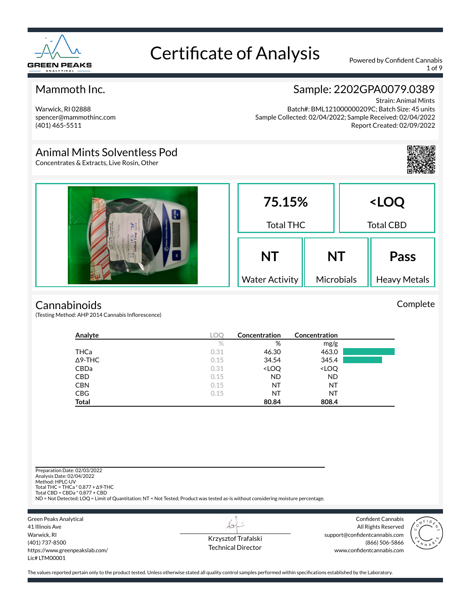

1 of 9

### Mammoth Inc.

Warwick, RI 02888 spencer@mammothinc.com (401) 465-5511

### Sample: 2202GPA0079.0389

Strain: Animal Mints Batch#: BML121000000209C; Batch Size: 45 units Sample Collected: 02/04/2022; Sample Received: 02/04/2022 Report Created: 02/09/2022

### Animal Mints Solventless Pod

Concentrates & Extracts, Live Rosin, Other



Complete

#### **Cannabinoids**

(Testing Method: AHP 2014 Cannabis Inflorescence)

| Analyte        | <b>LOC</b> | <b>Concentration</b>                                     | Concentration                |  |
|----------------|------------|----------------------------------------------------------|------------------------------|--|
|                | $\%$       | %                                                        | mg/g                         |  |
| THCa           | 0.31       | 46.30                                                    | 463.0                        |  |
| $\Delta$ 9-THC | 0.15       | 34.54                                                    | 345.4                        |  |
| CBDa           | 0.31       | <loq< th=""><th><loq< th=""><th></th></loq<></th></loq<> | <loq< th=""><th></th></loq<> |  |
| <b>CBD</b>     | 0.15       | <b>ND</b>                                                | ND                           |  |
| <b>CBN</b>     | 0.15       | NT                                                       | ΝT                           |  |
| <b>CBG</b>     | 0.15       | NT                                                       | ΝT                           |  |
| <b>Total</b>   |            | 80.84                                                    | 808.4                        |  |

Preparation Date: 02/03/2022 Analysis Date: 02/04/2022 Method: HPLC-UV Total THC = THCa \* 0.877 + ∆9-THC Total CBD = CBDa \* 0.877 + CBD ND = Not Detected; LOQ = Limit of Quantitation; NT = Not Tested; Product was tested as-is without considering moisture percentage. Green Peaks Analytical Confident Cannabis  $\overleftrightarrow{v}$ 41 Illinois Ave All Rights Reserved

Warwick, RI (401) 737-8500 https://www.greenpeakslab.com/ Lic# LTM00001

Krzysztof Trafalski Technical Director support@confidentcannabis.com (866) 506-5866 www.confidentcannabis.com

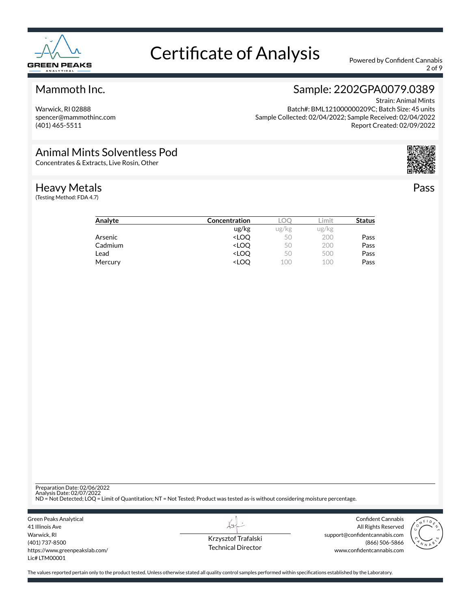

2 of 9

### Mammoth Inc.

Warwick, RI 02888 spencer@mammothinc.com (401) 465-5511

### Sample: 2202GPA0079.0389

Strain: Animal Mints Batch#: BML121000000209C; Batch Size: 45 units Sample Collected: 02/04/2022; Sample Received: 02/04/2022 Report Created: 02/09/2022

### Animal Mints Solventless Pod

Concentrates & Extracts, Live Rosin, Other

#### Heavy Metals

(Testing Method: FDA 4.7)



Pass

| Analyte | Concentration                                            | ⊥O⊑   | .imit | <b>Status</b> |
|---------|----------------------------------------------------------|-------|-------|---------------|
|         | ug/kg                                                    | ug/kg | ug/kg |               |
| Arsenic | <loo< td=""><td>50</td><td>200</td><td>Pass</td></loo<>  | 50    | 200   | Pass          |
| Cadmium | <loo< td=""><td>50</td><td>200</td><td>Pass</td></loo<>  | 50    | 200   | Pass          |
| Lead    | <loo< td=""><td>50</td><td>500</td><td>Pass</td></loo<>  | 50    | 500   | Pass          |
| Mercury | <loo< td=""><td>100</td><td>100</td><td>Pass</td></loo<> | 100   | 100   | Pass          |
|         |                                                          |       |       |               |

Preparation Date: 02/06/2022

Analysis Date: 02/07/2022 ND = Not Detected; LOQ = Limit of Quantitation; NT = Not Tested; Product was tested as-is without considering moisture percentage.

Green Peaks Analytical 41 Illinois Ave Warwick, RI (401) 737-8500 https://www.greenpeakslab.com/ Lic# LTM00001

Krzysztof Trafalski Technical Director

 $\lambda\rightarrow$ 

Confident Cannabis All Rights Reserved support@confidentcannabis.com (866) 506-5866 www.confidentcannabis.com

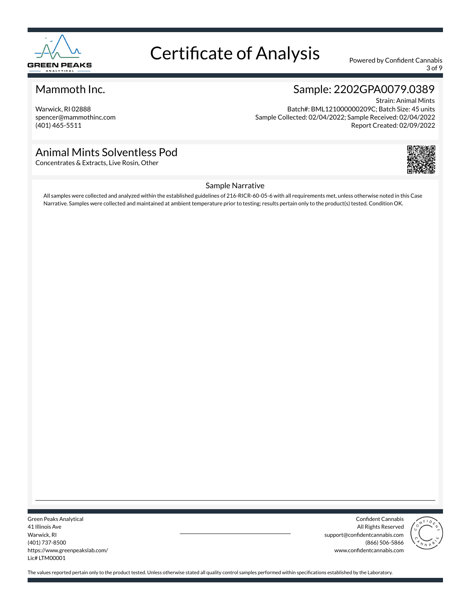

3 of 9

### Mammoth Inc.

Warwick, RI 02888 spencer@mammothinc.com (401) 465-5511

### Sample: 2202GPA0079.0389

Strain: Animal Mints Batch#: BML121000000209C; Batch Size: 45 units Sample Collected: 02/04/2022; Sample Received: 02/04/2022 Report Created: 02/09/2022

### Animal Mints Solventless Pod

Concentrates & Extracts, Live Rosin, Other



#### Sample Narrative

All samples were collected and analyzed within the established guidelines of 216-RICR-60-05-6 with all requirements met, unless otherwise noted in this Case Narrative. Samples were collected and maintained at ambient temperature prior to testing; results pertain only to the product(s) tested. Condition OK.

Green Peaks Analytical 41 Illinois Ave Warwick, RI (401) 737-8500 https://www.greenpeakslab.com/ Lic# LTM00001

Confident Cannabis All Rights Reserved support@confidentcannabis.com (866) 506-5866 www.confidentcannabis.com

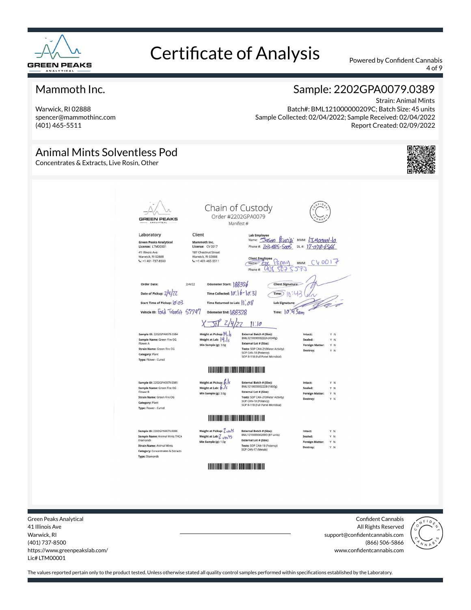

4 of 9

### Mammoth Inc.

Warwick, RI 02888 spencer@mammothinc.com (401) 465-5511

### Sample: 2202GPA0079.0389

Strain: Animal Mints Batch#: BML121000000209C; Batch Size: 45 units Sample Collected: 02/04/2022; Sample Received: 02/04/2022 Report Created: 02/09/2022

#### Animal Mints Solventless Pod Concentrates & Extracts, Live Rosin, Other Chain of Custody Order #2202GPA0079 **GREEN PEAKS** Manifest # Laboratory Client **Lab Emple** Name: Sason Rincipi MMM: LIMOCOOl-lo Green Peaks Analytical<br>License: LTM00001 Mammoth Inc.<br>License: CV 0017 Phone #: 203-685-5005 DL#: 17-078-6566 41 Illinois Ave<br>Warwick, RI 02888<br>C: +1 401-737-8500 187 Chestnut Street<br>Warwick, RI 02888<br>C: +1 401-465-5511 Client Employee Papay MMM: CV0017<br>Mame 2 2 Papay MMM: CV0017 Odometer Start: 188376 Order Date:  $214122$ Client Signature Date of Pickup: 2/4/27 Time Collected:  $|\emptyset\rangle$   $|b - |a|\overline{3}|$  $\widehat{\mathsf{Time}}$  $\widehat{\mathsf{N}}$ :43 Start Time of Pickup: 0.03 Time Returned to Lab:  $||\rangle \partial \mathcal{E}$ Lab Si vehicle ID: Ford TVanSit 57797  $Time: 10'43$ am Odometer End: (28372)  $\frac{1}{\sqrt{2}}$   $\frac{1}{2}$  $11:10$ Sample ID: 2202GPA0079.0384 Weight at Pickup:  $|4|$ , External Batch # (Size):<br>BML12100000222A (4540g) Intact Sample Name: Green Fire OG<br>Flower A Weight at Lab: |4.|} External Lot # (Size): Min Sample (g): 3.0g Y N **Foreign M** Tests: SOP CAN-21(Water Activity)<br>SOP CAN-18 (Potency)<br>SOP B-118 (Full Panel Microbial) Strain Name: Green Fire OG Category: Plant Type: Flower - Cured **All and All and All and All and All and All and All and All and All and All and All and All and All and All a** Weight at Pickup:  $\frac{\beta}{\beta}$ Sample ID: 2202GPA0079.0385 External Batch # (Size):<br>BML121000000222B (1800g) Sample Name: Green Fire OG<br>Flower B Sealed Y N External Lot # (Size): Min Sample (g): 3.0g Foreign Matter: Y N External Lot \* (Size):<br>Tests: SOP CAN-21(Water Activity)<br>SOP CAN-18 (Potency)<br>SOP B-118 (Full Panel Microbial) Strain Name: Green Fire OG Category: Plant Type: Flower - Cured Sample ID: 2202GPA0079.0386 Weight at Pickup: 7 unfs External Batch # (Size):<br>BML121000000209D (87 units) Weight at Lab: 7 um 95 Sample Name: Animal Mints THCA<br>Diamonds Sealed: Y N External Lot # (Size): **Foreign Matter:** Y N **Strain Name: Animal Mints** Tests: SOP CAN-18 (Potency)<br>SOP CAN-17 (Metals) Category: Concentrates & Extracts **Type: Diamonds**

Green Peaks Analytical 41 Illinois Ave Warwick, RI (401) 737-8500 https://www.greenpeakslab.com/ Lic# LTM00001

Confident Cannabis All Rights Reserved support@confidentcannabis.com (866) 506-5866 www.confidentcannabis.com

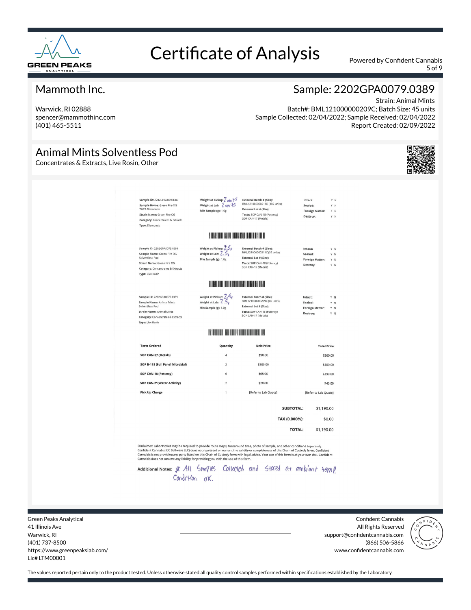

5 of 9

### Mammoth Inc.

Warwick, RI 02888 spencer@mammothinc.com (401) 465-5511

### Sample: 2202GPA0079.0389

Strain: Animal Mints Batch#: BML121000000209C; Batch Size: 45 units Sample Collected: 02/04/2022; Sample Received: 02/04/2022 Report Created: 02/09/2022

### Animal Mints Solventless Pod

Concentrates & Extracts, Live Rosin, Other

| Sample ID: 2202GPA0079.0387<br>Sample Name: Green Fire OG<br><b>THCA Diamonds</b><br>Strain Name: Green Fire OG<br><b>Category:</b> Concentrates & Extracts<br><b>Type: Diamonds</b>  | Weight at Pickup: 7 uni+5<br>Weight at Lab: Z vni 15<br>Min Sample (g): 1.0g                                          | External Batch # (Size):<br>BML121000000211D (102 units)<br>External Lot # (Size):<br>Tests: SOP CAN-18 (Potency)<br>SOP CAN-17 (Metals)       | Intact:<br>Y N<br>Sealed:<br>YN<br><b>Foreign Matter:</b><br>Y N<br>Y N<br>Destroy:  |
|---------------------------------------------------------------------------------------------------------------------------------------------------------------------------------------|-----------------------------------------------------------------------------------------------------------------------|------------------------------------------------------------------------------------------------------------------------------------------------|--------------------------------------------------------------------------------------|
|                                                                                                                                                                                       | <b>IN THE REAL PROPERTY AND IN</b>                                                                                    |                                                                                                                                                |                                                                                      |
| Sample ID: 2202GPA0079.0388<br>Sample Name: Green Fire OG<br>Solventless Pod<br>Strain Name: Green Fire OG<br><b>Category: Concentrates &amp; Extracts</b><br><b>Type: Live Rosin</b> | Weight at Pickup: 2.56<br>Weight at Lab: $2.5.$<br>Min Sample (g): 1.0g                                               | External Batch # (Size):<br>BML121000000211C (32 units)<br>External Lot # (Size):<br>Tests: SOP CAN-18 (Potency)<br>SOP CAN-17 (Metals)        | Intact:<br>Y N<br>Sealed:<br>Y N<br><b>Foreign Matter:</b><br>YN<br>Destroy:<br>Y N  |
|                                                                                                                                                                                       | <b>IT IS A REPORT OF A REPORT OF A REPORT OF A REPORT OF A REPORT OF A REPORT OF A REPORT OF A REPORT OF A REPORT</b> |                                                                                                                                                |                                                                                      |
| Sample ID: 2202GPA0079.0389<br>Sample Name: Animal Mints<br>Solventless Pod<br>Strain Name: Animal Mints<br>Category: Concentrates & Extracts<br><b>Type: Live Rosin</b>              | Weight at Pickup: 7.54<br>Weight at Lab: $\angle .5_c$<br>Min Sample (g): 1.0g                                        | External Batch # (Size):<br>BML121000000209C (45 units)<br><b>External Lot # (Size):</b><br>Tests: SOP CAN-18 (Potency)<br>SOP CAN-17 (Metals) | Intact:<br>Y N<br>Sealed:<br>Y N<br><b>Foreign Matter:</b><br>Y N<br>Y N<br>Destroy: |
|                                                                                                                                                                                       | <b>HELL AND REAL PROPERTY AND REAL PROPERTY</b>                                                                       |                                                                                                                                                |                                                                                      |
| <b>Tests Ordered</b>                                                                                                                                                                  | Quantity                                                                                                              | <b>Unit Price</b>                                                                                                                              | <b>Total Price</b>                                                                   |
| SOP CAN-17 (Metals)                                                                                                                                                                   | $\overline{4}$                                                                                                        | \$90.00                                                                                                                                        | \$360.00                                                                             |
| SOP B-118 (Full Panel Microbial)                                                                                                                                                      | $\overline{2}$                                                                                                        | \$200.00                                                                                                                                       | \$400.00                                                                             |
| SOP CAN-18 (Potency)                                                                                                                                                                  | 6                                                                                                                     | \$65.00                                                                                                                                        | \$390.00                                                                             |
| SOP CAN-21(Water Activity)                                                                                                                                                            | $\overline{2}$                                                                                                        | \$20.00                                                                                                                                        | \$40.00                                                                              |
| <b>Pick Up Charge</b>                                                                                                                                                                 | 1                                                                                                                     | [Refer to Lab Quote]                                                                                                                           | [Refer to Lab Quote]                                                                 |
|                                                                                                                                                                                       |                                                                                                                       | <b>SUBTOTAL:</b>                                                                                                                               | \$1,190,00                                                                           |
|                                                                                                                                                                                       |                                                                                                                       | TAX (0.000%):                                                                                                                                  | \$0.00                                                                               |
|                                                                                                                                                                                       |                                                                                                                       | <b>TOTAL:</b>                                                                                                                                  | \$1,190.00                                                                           |

Disclaimer: Laboratories may be required to provide route maps, turnaround time, photo of sample, and other conditions separately.<br>Confident Cannabis (CC Software LLC) does not represent or warrant the validity or complete

Additional Notes: \$ All Samples Collected and Stated at ambient temp Condition ok.

Green Peaks Analytical 41 Illinois Ave Warwick, RI (401) 737-8500 https://www.greenpeakslab.com/ Lic# LTM00001

Confident Cannabis All Rights Reserved support@confidentcannabis.com (866) 506-5866 www.confidentcannabis.com

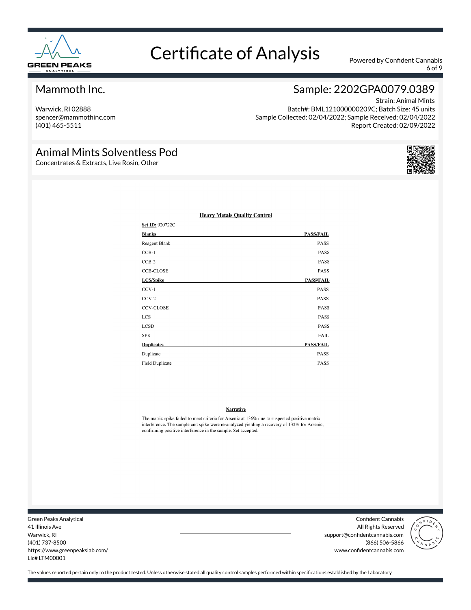

6 of 9

### Mammoth Inc.

Warwick, RI 02888 spencer@mammothinc.com (401) 465-5511

### Sample: 2202GPA0079.0389

Strain: Animal Mints Batch#: BML121000000209C; Batch Size: 45 units Sample Collected: 02/04/2022; Sample Received: 02/04/2022 Report Created: 02/09/2022

### Animal Mints Solventless Pod

Concentrates & Extracts, Live Rosin, Other



| Set ID: 020722C        |                  |
|------------------------|------------------|
| <b>Blanks</b>          | <b>PASS/FAIL</b> |
| Reagent Blank          | PASS             |
| $CCB-1$                | <b>PASS</b>      |
| $CCB-2$                | <b>PASS</b>      |
| <b>CCB-CLOSE</b>       | PASS             |
| LCS/Spike              | <b>PASS/FAIL</b> |
| $CCV-1$                | PASS             |
| $CCV-2$                | <b>PASS</b>      |
| <b>CCV-CLOSE</b>       | PASS             |
| <b>LCS</b>             | PASS             |
| <b>LCSD</b>            | <b>PASS</b>      |
| <b>SPK</b>             | <b>FAIL</b>      |
| <b>Duplicates</b>      | <b>PASS/FAIL</b> |
| Duplicate              | <b>PASS</b>      |
| <b>Field Duplicate</b> | <b>PASS</b>      |

#### **Heavy Metals Quality Control**

#### **Narrative**

The matrix spike failed to meet criteria for Arsenic at 136% due to suspected positive matrix interference. The sample and spike were re-analyzed yielding a recovery of 132% for Arsenic, confirming positive interference in the sample. Set accepted.

Green Peaks Analytical 41 Illinois Ave Warwick, RI (401) 737-8500 https://www.greenpeakslab.com/ Lic# LTM00001

Confident Cannabis All Rights Reserved support@confidentcannabis.com (866) 506-5866 www.confidentcannabis.com

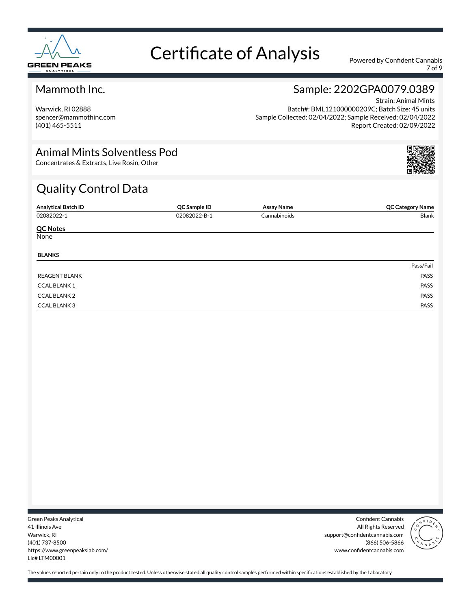

7 of 9

### Mammoth Inc.

Warwick, RI 02888 spencer@mammothinc.com (401) 465-5511

### Sample: 2202GPA0079.0389 Strain: Animal Mints

Batch#: BML121000000209C; Batch Size: 45 units Sample Collected: 02/04/2022; Sample Received: 02/04/2022 Report Created: 02/09/2022

### Animal Mints Solventless Pod

Concentrates & Extracts, Live Rosin, Other

### Quality Control Data

| <b>Analytical Batch ID</b> | QC Sample ID | <b>Assay Name</b> | <b>QC Category Name</b> |
|----------------------------|--------------|-------------------|-------------------------|
| 02082022-1                 | 02082022-B-1 | Cannabinoids      | Blank                   |
| <b>QC Notes</b>            |              |                   |                         |
| None                       |              |                   |                         |
| <b>BLANKS</b>              |              |                   |                         |
|                            |              |                   | Pass/Fail               |
| <b>REAGENT BLANK</b>       |              |                   | PASS                    |
| <b>CCAL BLANK1</b>         |              |                   | PASS                    |
| <b>CCAL BLANK 2</b>        |              |                   | PASS                    |
| <b>CCAL BLANK 3</b>        |              |                   | PASS                    |

Green Peaks Analytical 41 Illinois Ave Warwick, RI (401) 737-8500 https://www.greenpeakslab.com/ Lic# LTM00001

Confident Cannabis All Rights Reserved support@confidentcannabis.com (866) 506-5866 www.confidentcannabis.com

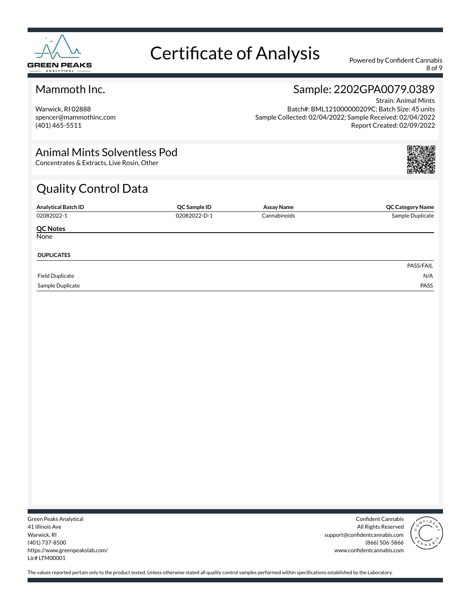

8 of 9

### Mammoth Inc.

Warwick, RI 02888 spencer@mammothinc.com (401) 465-5511

### Sample: 2202GPA0079.0389 Strain: Animal Mints

Batch#: BML121000000209C; Batch Size: 45 units Sample Collected: 02/04/2022; Sample Received: 02/04/2022 Report Created: 02/09/2022

### Animal Mints Solventless Pod

Concentrates & Extracts, Live Rosin, Other

### Quality Control Data

| <b>Analytical Batch ID</b> | QC Sample ID | <b>Assay Name</b> | <b>QC Category Name</b> |
|----------------------------|--------------|-------------------|-------------------------|
| 02082022-1                 | 02082022-D-1 | Cannabinoids      | Sample Duplicate        |
| <b>QC Notes</b>            |              |                   |                         |
| None                       |              |                   |                         |
| <b>DUPLICATES</b>          |              |                   |                         |
|                            |              |                   | PASS/FAIL               |
| <b>Field Duplicate</b>     |              |                   | N/A                     |
| Sample Duplicate           |              |                   | PASS                    |

Green Peaks Analytical 41 Illinois Ave Warwick, RI (401) 737-8500 https://www.greenpeakslab.com/ Lic# LTM00001

Confident Cannabis All Rights Reserved support@confidentcannabis.com (866) 506-5866 www.confidentcannabis.com